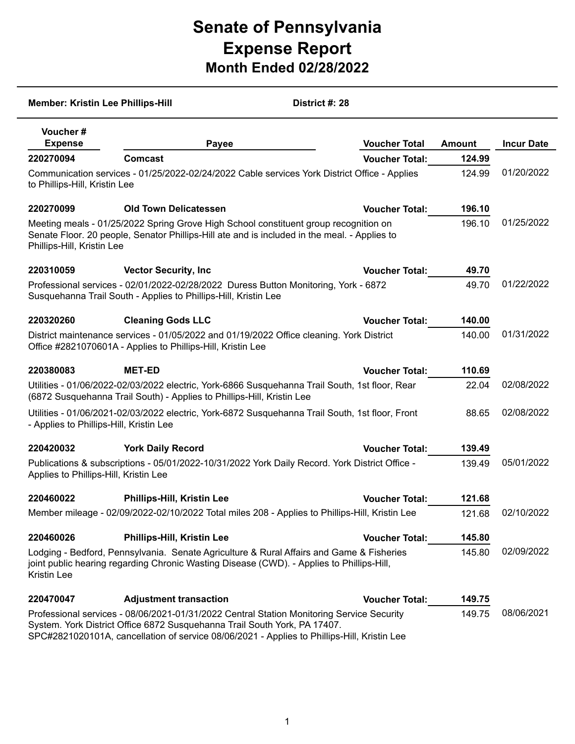## **Senate of Pennsylvania Expense Report Month Ended 02/28/2022**

| District #: 28<br><b>Member: Kristin Lee Phillips-Hill</b>                                                                                                                                                                                                                      |                                                                                                                                                                                       |                       |               |                   |  |
|---------------------------------------------------------------------------------------------------------------------------------------------------------------------------------------------------------------------------------------------------------------------------------|---------------------------------------------------------------------------------------------------------------------------------------------------------------------------------------|-----------------------|---------------|-------------------|--|
| <b>Voucher#</b><br><b>Expense</b>                                                                                                                                                                                                                                               | Payee                                                                                                                                                                                 | <b>Voucher Total</b>  | <b>Amount</b> | <b>Incur Date</b> |  |
| 220270094                                                                                                                                                                                                                                                                       | <b>Comcast</b>                                                                                                                                                                        | <b>Voucher Total:</b> | 124.99        |                   |  |
| to Phillips-Hill, Kristin Lee                                                                                                                                                                                                                                                   | Communication services - 01/25/2022-02/24/2022 Cable services York District Office - Applies                                                                                          |                       | 124.99        | 01/20/2022        |  |
| 220270099                                                                                                                                                                                                                                                                       | <b>Old Town Delicatessen</b>                                                                                                                                                          | <b>Voucher Total:</b> | 196.10        |                   |  |
| Phillips-Hill, Kristin Lee                                                                                                                                                                                                                                                      | Meeting meals - 01/25/2022 Spring Grove High School constituent group recognition on<br>Senate Floor. 20 people, Senator Phillips-Hill ate and is included in the meal. - Applies to  |                       | 196.10        | 01/25/2022        |  |
| 220310059                                                                                                                                                                                                                                                                       | <b>Vector Security, Inc.</b>                                                                                                                                                          | <b>Voucher Total:</b> | 49.70         |                   |  |
|                                                                                                                                                                                                                                                                                 | Professional services - 02/01/2022-02/28/2022 Duress Button Monitoring, York - 6872<br>Susquehanna Trail South - Applies to Phillips-Hill, Kristin Lee                                |                       | 49.70         | 01/22/2022        |  |
| 220320260                                                                                                                                                                                                                                                                       | <b>Cleaning Gods LLC</b>                                                                                                                                                              | <b>Voucher Total:</b> | 140.00        |                   |  |
|                                                                                                                                                                                                                                                                                 | District maintenance services - 01/05/2022 and 01/19/2022 Office cleaning. York District<br>Office #2821070601A - Applies to Phillips-Hill, Kristin Lee                               |                       | 140.00        | 01/31/2022        |  |
| 220380083                                                                                                                                                                                                                                                                       | <b>MET-ED</b>                                                                                                                                                                         | <b>Voucher Total:</b> | 110.69        |                   |  |
|                                                                                                                                                                                                                                                                                 | Utilities - 01/06/2022-02/03/2022 electric, York-6866 Susquehanna Trail South, 1st floor, Rear<br>(6872 Susquehanna Trail South) - Applies to Phillips-Hill, Kristin Lee              |                       | 22.04         | 02/08/2022        |  |
| - Applies to Phillips-Hill, Kristin Lee                                                                                                                                                                                                                                         | Utilities - 01/06/2021-02/03/2022 electric, York-6872 Susquehanna Trail South, 1st floor, Front                                                                                       |                       | 88.65         | 02/08/2022        |  |
| 220420032                                                                                                                                                                                                                                                                       | <b>York Daily Record</b>                                                                                                                                                              | <b>Voucher Total:</b> | 139.49        |                   |  |
| Applies to Phillips-Hill, Kristin Lee                                                                                                                                                                                                                                           | Publications & subscriptions - 05/01/2022-10/31/2022 York Daily Record. York District Office -                                                                                        |                       | 139.49        | 05/01/2022        |  |
| 220460022                                                                                                                                                                                                                                                                       | <b>Phillips-Hill, Kristin Lee</b>                                                                                                                                                     | <b>Voucher Total:</b> | 121.68        |                   |  |
|                                                                                                                                                                                                                                                                                 | Member mileage - 02/09/2022-02/10/2022 Total miles 208 - Applies to Phillips-Hill, Kristin Lee                                                                                        |                       | 121.68        | 02/10/2022        |  |
| 220460026                                                                                                                                                                                                                                                                       | <b>Phillips-Hill, Kristin Lee</b>                                                                                                                                                     | <b>Voucher Total:</b> | 145.80        |                   |  |
| Kristin Lee                                                                                                                                                                                                                                                                     | Lodging - Bedford, Pennsylvania. Senate Agriculture & Rural Affairs and Game & Fisheries<br>joint public hearing regarding Chronic Wasting Disease (CWD). - Applies to Phillips-Hill, |                       | 145.80        | 02/09/2022        |  |
| 220470047                                                                                                                                                                                                                                                                       | <b>Adjustment transaction</b>                                                                                                                                                         | <b>Voucher Total:</b> | 149.75        |                   |  |
| Professional services - 08/06/2021-01/31/2022 Central Station Monitoring Service Security<br>149.75<br>System. York District Office 6872 Susquehanna Trail South York, PA 17407.<br>SPC#2821020101A, cancellation of service 08/06/2021 - Applies to Phillips-Hill, Kristin Lee |                                                                                                                                                                                       |                       |               | 08/06/2021        |  |